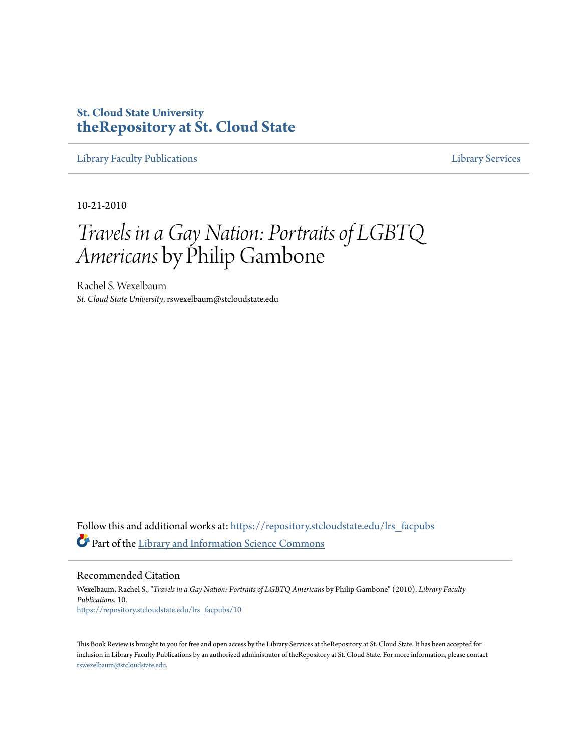## **St. Cloud State University [theRepository at St. Cloud State](https://repository.stcloudstate.edu?utm_source=repository.stcloudstate.edu%2Flrs_facpubs%2F10&utm_medium=PDF&utm_campaign=PDFCoverPages)**

[Library Faculty Publications](https://repository.stcloudstate.edu/lrs_facpubs?utm_source=repository.stcloudstate.edu%2Flrs_facpubs%2F10&utm_medium=PDF&utm_campaign=PDFCoverPages) [Library Services](https://repository.stcloudstate.edu/ls?utm_source=repository.stcloudstate.edu%2Flrs_facpubs%2F10&utm_medium=PDF&utm_campaign=PDFCoverPages)

10-21-2010

## *Travels in a Gay Nation: Portraits of LGBTQ Americans* by Philip Gambone

Rachel S. Wexelbaum *St. Cloud State University*, rswexelbaum@stcloudstate.edu

Follow this and additional works at: [https://repository.stcloudstate.edu/lrs\\_facpubs](https://repository.stcloudstate.edu/lrs_facpubs?utm_source=repository.stcloudstate.edu%2Flrs_facpubs%2F10&utm_medium=PDF&utm_campaign=PDFCoverPages) Part of the [Library and Information Science Commons](http://network.bepress.com/hgg/discipline/1018?utm_source=repository.stcloudstate.edu%2Flrs_facpubs%2F10&utm_medium=PDF&utm_campaign=PDFCoverPages)

Recommended Citation

Wexelbaum, Rachel S., "*Travels in a Gay Nation: Portraits of LGBTQ Americans* by Philip Gambone" (2010). *Library Faculty Publications*. 10. [https://repository.stcloudstate.edu/lrs\\_facpubs/10](https://repository.stcloudstate.edu/lrs_facpubs/10?utm_source=repository.stcloudstate.edu%2Flrs_facpubs%2F10&utm_medium=PDF&utm_campaign=PDFCoverPages)

This Book Review is brought to you for free and open access by the Library Services at theRepository at St. Cloud State. It has been accepted for inclusion in Library Faculty Publications by an authorized administrator of theRepository at St. Cloud State. For more information, please contact [rswexelbaum@stcloudstate.edu](mailto:rswexelbaum@stcloudstate.edu).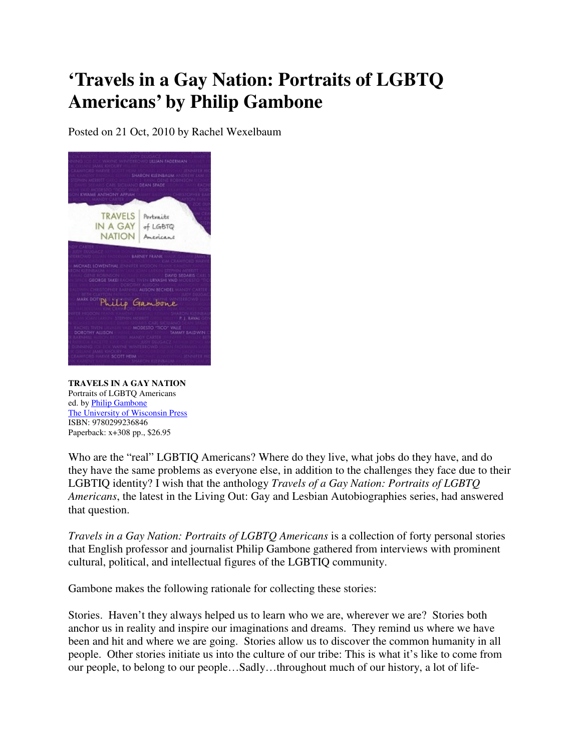## **'Travels in a Gay Nation: Portraits of LGBTQ Americans' by Philip Gambone**

Posted on 21 Oct, 2010 by Rachel Wexelbaum



**TRAVELS IN A GAY NATION** Portraits of LGBTQ Americans ed. by Philip Gambone The University of Wisconsin Press ISBN: 9780299236846 Paperback: x+308 pp., \$26.95

Who are the "real" LGBTIQ Americans? Where do they live, what jobs do they have, and do they have the same problems as everyone else, in addition to the challenges they face due to their LGBTIQ identity? I wish that the anthology *Travels of a Gay Nation: Portraits of LGBTQ Americans*, the latest in the Living Out: Gay and Lesbian Autobiographies series, had answered that question.

*Travels in a Gay Nation: Portraits of LGBTQ Americans* is a collection of forty personal stories that English professor and journalist Philip Gambone gathered from interviews with prominent cultural, political, and intellectual figures of the LGBTIQ community.

Gambone makes the following rationale for collecting these stories:

Stories. Haven't they always helped us to learn who we are, wherever we are? Stories both anchor us in reality and inspire our imaginations and dreams. They remind us where we have been and hit and where we are going. Stories allow us to discover the common humanity in all people. Other stories initiate us into the culture of our tribe: This is what it's like to come from our people, to belong to our people…Sadly…throughout much of our history, a lot of life